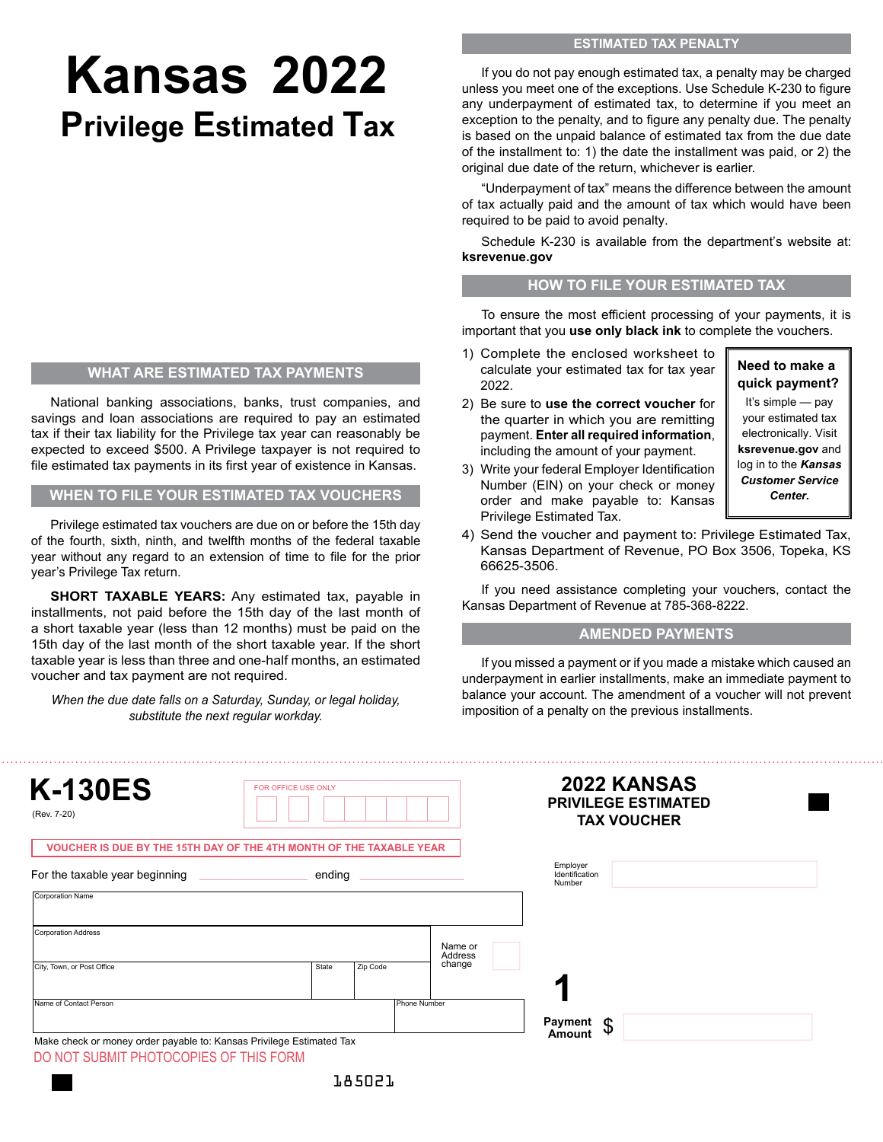# **Kansas 2022 Privilege Estimated Tax**

### **WHAT ARE ESTIMATED TAX PAYMENTS**

National banking associations, banks, trust companies, and savings and loan associations are required to pay an estimated tax if their tax liability for the Privilege tax year can reasonably be expected to exceed \$500. A Privilege taxpayer is not required to file estimated tax payments in its first year of existence in Kansas.

**WHEN TO FILE YOUR ESTIMATED TAX VOUCHERS**

Privilege estimated tax vouchers are due on or before the 15th day of the fourth, sixth, ninth, and twelfth months of the federal taxable year without any regard to an extension of time to file for the prior year's Privilege Tax return.

**SHORT TAXABLE YEARS:** Any estimated tax, payable in installments, not paid before the 15th day of the last month of a short taxable year (less than 12 months) must be paid on the 15th day of the last month of the short taxable year. If the short taxable year is less than three and one-half months, an estimated voucher and tax payment are not required.

*, When the due date falls on a Saturday, Sunday, or legal holiday substitute the next regular workday.*

If you do not pay enough estimated tax, a penalty may be charged unless you meet one of the exceptions. Use Schedule K-230 to figure any underpayment of estimated tax, to determine if you meet an exception to the penalty, and to figure any penalty due. The penalty is based on the unpaid balance of estimated tax from the due date of the installment to: 1) the date the installment was paid, or 2) the original due date of the return, whichever is earlier.

"Underpayment of tax" means the difference between the amount of tax actually paid and the amount of tax which would have been required to be paid to avoid penalty.

Schedule K-230 is available from the department's website at: **ksrevenue.gov**

#### **HOW TO FILE YOUR ESTIMATED TAX**

To ensure the most efficient processing of your payments, it is important that you **use only black ink** to complete the vouchers.

> **Need to make a quick payment?** It's simple — pay your estimated tax electronically. Visit **ksrevenue.gov** and log in to the *Kansas Customer Service Center.*

- 1) Complete the enclosed worksheet to calculate your estimated tax for tax year 2022.
- 2) Be sure to **use the correct voucher** for the quarter in which you are remitting payment. **Enter all required information**, including the amount of your payment.
- 3) Write your federal Employer Identification Number (EIN) on your check or money order and make payable to: Kansas Privilege Estimated Tax.
- 4) Send the voucher and payment to: Privilege Estimated Tax, Kansas Department of Revenue, PO Box 3506, Topeka, KS 66625-3506.

If you need assistance completing your vouchers, contact the Kansas Department of Revenue at 785-368-8222.

### **AMENDED PAYMENTS**

If you missed a payment or if you made a mistake which caused an underpayment in earlier installments, make an immediate payment to balance your account. The amendment of a voucher will not prevent imposition of a penalty on the previous installments.

| <b>K-130ES</b><br>(Rev. 7-20)                                        | FOR OFFICE USE ONLY |          |                    | <b>2022 KANSAS</b><br><b>PRIVILEGE ESTIMATED</b><br><b>TAX VOUCHER</b> |  |
|----------------------------------------------------------------------|---------------------|----------|--------------------|------------------------------------------------------------------------|--|
| VOUCHER IS DUE BY THE 15TH DAY OF THE 4TH MONTH OF THE TAXABLE YEAR  |                     |          |                    |                                                                        |  |
| For the taxable year beginning                                       | ending              |          |                    | Employer<br>Identification<br>Number                                   |  |
| Corporation Name                                                     |                     |          |                    |                                                                        |  |
| Corporation Address                                                  |                     |          |                    |                                                                        |  |
|                                                                      |                     |          | Name or<br>Address |                                                                        |  |
| City, Town, or Post Office                                           | State               | Zip Code | change             |                                                                        |  |
| Name of Contact Person                                               |                     |          | Phone Number       |                                                                        |  |
| Make check or money order payable to: Kansas Privilege Estimated Tax |                     |          |                    | Payment<br>\$<br>Amount                                                |  |

DO NOT SUBMIT PHOTOCOPIES OF THIS FORM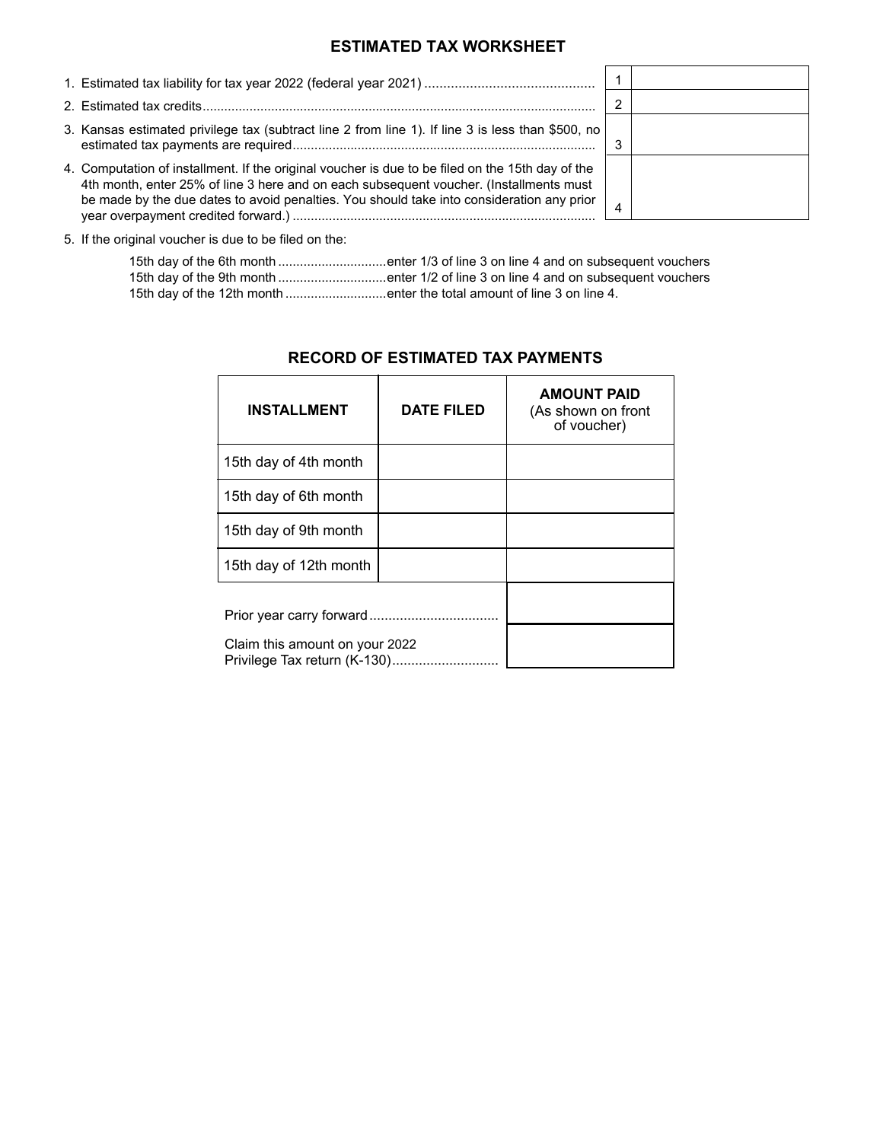## **ESTIMATED TAX WORKSHEET**

| 3. Kansas estimated privilege tax (subtract line 2 from line 1). If line 3 is less than \$500, no                                                                                                                                                                                       |  |
|-----------------------------------------------------------------------------------------------------------------------------------------------------------------------------------------------------------------------------------------------------------------------------------------|--|
| 4. Computation of installment. If the original voucher is due to be filed on the 15th day of the<br>4th month, enter 25% of line 3 here and on each subsequent voucher. (Installments must<br>be made by the due dates to avoid penalties. You should take into consideration any prior |  |

5. If the original voucher is due to be filed on the:

|                                                                        | 15th day of the 6th month enter 1/3 of line 3 on line 4 and on subsequent vouchers |
|------------------------------------------------------------------------|------------------------------------------------------------------------------------|
|                                                                        | 15th day of the 9th month enter 1/2 of line 3 on line 4 and on subsequent vouchers |
| 15th day of the 12th month enter the total amount of line 3 on line 4. |                                                                                    |

| <b>INSTALLMENT</b>                                             | <b>DATE FILED</b> | <b>AMOUNT PAID</b><br>(As shown on front<br>of voucher) |
|----------------------------------------------------------------|-------------------|---------------------------------------------------------|
| 15th day of 4th month                                          |                   |                                                         |
| 15th day of 6th month                                          |                   |                                                         |
| 15th day of 9th month                                          |                   |                                                         |
| 15th day of 12th month                                         |                   |                                                         |
|                                                                |                   |                                                         |
| Claim this amount on your 2022<br>Privilege Tax return (K-130) |                   |                                                         |

## **RECORD OF ESTIMATED TAX PAYMENTS**